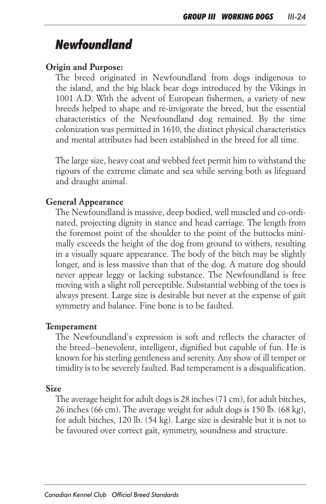# *Newfoundland*

#### *Origin and Purpose:*

*The breed originated in Newfoundland from dogs indigenous to*  the island, and the big black bear dogs introduced by the Vikings in *1001 A.D. With the advent of European fishermen, a variety of new*  breeds helped to shape and re-invigorate the breed, but the essential *characteristics of the Newfoundland dog remained. By the time colonization was permitted in 1610, the distinct physical characteristics and mental attributes had been established in the breed for all time.*

The large size, heavy coat and webbed feet permit him to withstand the *rigours of the extreme climate and sea while serving both as lifeguard and draught animal.*

## *General Appearance*

*The Newfoundland is massive, deep bodied, well muscled and co-ordinated, projecting dignity in stance and head carriage. The length from the foremost point of the shoulder to the point of the buttocks minimally exceeds the height of the dog from ground to withers, resulting in a visually square appearance. The body of the bitch may be slightly*  longer, and is less massive than that of the dog. A mature dog should *never appear leggy or lacking substance. The Newfoundland is free moving with a slight roll perceptible. Substantial webbing of the toes is always present. Large size is desirable but never at the expense of gait symmetry and balance. Fine bone is to be faulted.*

#### *Temperament*

The Newfoundland's expression is soft and reflects the character of *the breed--benevolent, intelligent, dignified but capable of fun. He is known for his sterling gentleness and serenity. Any show of ill temper or timidity is to be severely faulted. Bad temperament is a disqualification.*

## *Size*

*The average height for adult dogs is 28 inches (71 cm), for adult bitches, 26 inches (66 cm). The average weight for adult dogs is 150 lb. (68 kg), for adult bitches, 120 lb. (54 kg). Large size is desirable but it is not to be favoured over correct gait, symmetry, soundness and structure.*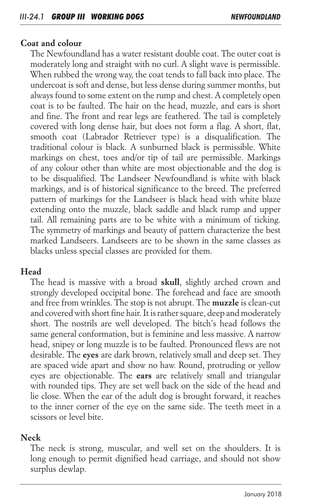### *Coat and colour*

*The Newfoundland has a water resistant double coat. The outer coat is moderately long and straight with no curl. A slight wave is permissible. When rubbed the wrong way, the coat tends to fall back into place. The undercoat is soft and dense, but less dense during summer months, but always found to some extent on the rump and chest. A completely open coat is to be faulted. The hair on the head, muzzle, and ears is short and fine. The front and rear legs are feathered. The tail is completely covered with long dense hair, but does not form a flag. A short, flat,*  smooth coat (Labrador Retriever type) is a disqualification. The *traditional colour is black. A sunburned black is permissible. White*  markings on chest, toes and/or tip of tail are permissible. Markings *of any colour other than white are most objectionable and the dog is to be disqualified. The Landseer Newfoundland is white with black markings, and is of historical significance to the breed. The preferred pattern of markings for the Landseer is black head with white blaze extending onto the muzzle, black saddle and black rump and upper tail. All remaining parts are to be white with a minimum of ticking. The symmetry of markings and beauty of pattern characterize the best marked Landseers. Landseers are to be shown in the same classes as blacks unless special classes are provided for them.*

# *Head*

*The head is massive with a broad skull, slightly arched crown and strongly developed occipital bone. The forehead and face are smooth*  and free from wrinkles. The stop is not abrupt. The **muzzle** is clean-cut *and covered with short fine hair. It is rather square, deep and moderately*  short. The nostrils are well developed. The bitch's head follows the *same general conformation, but is feminine and less massive. A narrow*  head, snipey or long muzzle is to be faulted. Pronounced flews are not *desirable. The eyes are dark brown, relatively small and deep set. They are spaced wide apart and show no haw. Round, protruding or yellow eyes are objectionable. The ears are relatively small and triangular*  with rounded tips. They are set well back on the side of the head and *lie close. When the ear of the adult dog is brought forward, it reaches*  to the inner corner of the eye on the same side. The teeth meet in a *scissors or level bite.*

# *Neck*

*The neck is strong, muscular, and well set on the shoulders. It is*  long enough to permit dignified head carriage, and should not show *surplus dewlap.*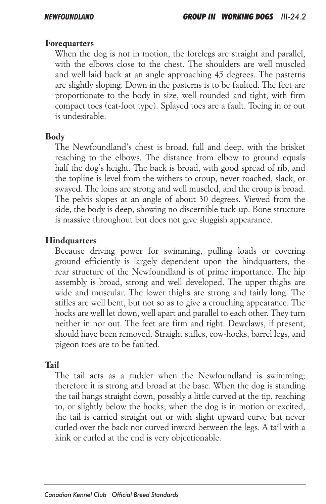#### *Forequarters*

*When the dog is not in motion, the forelegs are straight and parallel,*  with the elbows close to the chest. The shoulders are well muscled *and well laid back at an angle approaching 45 degrees. The pasterns*  are slightly sloping. Down in the pasterns is to be faulted. The feet are *proportionate to the body in size, well rounded and tight, with firm compact toes (cat-foot type). Splayed toes are a fault. Toeing in or out is undesirable.* 

## *Body*

The Newfoundland's chest is broad, full and deep, with the brisket *reaching to the elbows. The distance from elbow to ground equals*  half the dog's height. The back is broad, with good spread of rib, and the topline is level from the withers to croup, never roached, slack, or *swayed. The loins are strong and well muscled, and the croup is broad.*  The pelvis slopes at an angle of about 30 degrees. Viewed from the *side, the body is deep, showing no discernible tuck-up. Bone structure is massive throughout but does not give sluggish appearance.*

## *Hindquarters*

Because driving power for swimming, pulling loads or covering ground efficiently is largely dependent upon the hindquarters, the rear structure of the Newfoundland is of prime importance. The hip assembly is broad, strong and well developed. The upper thighs are wide and muscular. The lower thighs are strong and fairly long. The *stifles are well bent, but not so as to give a crouching appearance. The*  hocks are well let down, well apart and parallel to each other. They turn *neither in nor out. The feet are firm and tight. Dewclaws, if present, should have been removed. Straight stifles, cow-hocks, barrel legs, and pigeon toes are to be faulted.*

#### *Tail*

The tail acts as a rudder when the Newfoundland is swimming; *therefore it is strong and broad at the base. When the dog is standing the tail hangs straight down, possibly a little curved at the tip, reaching to, or slightly below the hocks; when the dog is in motion or excited,*  the tail is carried straight out or with slight upward curve but never *curled over the back nor curved inward between the legs. A tail with a kink or curled at the end is very objectionable.*